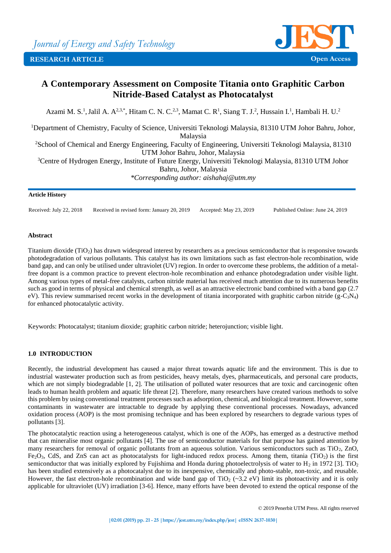

# **A Contemporary Assessment on Composite Titania onto Graphitic Carbon Nitride-Based Catalyst as Photocatalyst**

Azami M. S.<sup>1</sup>, Jalil A. A<sup>2,3,\*</sup>, Hitam C. N. C.<sup>2,3</sup>, Mamat C. R<sup>1</sup>, Siang T. J.<sup>2</sup>, Hussain I.<sup>1</sup>, Hambali H. U.<sup>2</sup>

<sup>1</sup>Department of Chemistry, Faculty of Science, Universiti Teknologi Malaysia, 81310 UTM Johor Bahru, Johor, Malaysia <sup>2</sup>School of Chemical and Energy Engineering, Faculty of Engineering, Universiti Teknologi Malaysia, 81310 UTM Johor Bahru, Johor, Malaysia <sup>3</sup>Centre of Hydrogen Energy, Institute of Future Energy, Universiti Teknologi Malaysia, 81310 UTM Johor Bahru, Johor, Malaysia

*\*Corresponding author: aishahaj@utm.my*

#### **Article History**

Received: July 22, 2018 Received in revised form: January 20, 2019 Accepted: May 23, 2019 Published Online: June 24, 2019

# **Abstract**

Titanium dioxide (TiO2) has drawn widespread interest by researchers as a precious semiconductor that is responsive towards photodegradation of various pollutants. This catalyst has its own limitations such as fast electron-hole recombination, wide band gap, and can only be utilised under ultraviolet (UV) region. In order to overcome these problems, the addition of a metalfree dopant is a common practice to prevent electron-hole recombination and enhance photodegradation under visible light. Among various types of metal-free catalysts, carbon nitride material has received much attention due to its numerous benefits such as good in terms of physical and chemical strength, as well as an attractive electronic band combined with a band gap (2.7 eV). This review summarised recent works in the development of titania incorporated with graphitic carbon nitride  $(g-C_3N_4)$ for enhanced photocatalytic activity.

Keywords: Photocatalyst; titanium dioxide; graphitic carbon nitride; heterojunction; visible light.

# **1.0 INTRODUCTION**

Recently, the industrial development has caused a major threat towards aquatic life and the environment. This is due to industrial wastewater production such as from pesticides, heavy metals, dyes, pharmaceuticals, and personal care products, which are not simply biodegradable [1, 2]. The utilisation of polluted water resources that are toxic and carcinogenic often leads to human health problem and aquatic life threat [2]. Therefore, many researchers have created various methods to solve this problem by using conventional treatment processes such as adsorption, chemical, and biological treatment. However, some contaminants in wastewater are intractable to degrade by applying these conventional processes. Nowadays, advanced oxidation process (AOP) is the most promising technique and has been explored by researchers to degrade various types of pollutants [3].

The photocatalytic reaction using a heterogeneous catalyst, which is one of the AOPs, has emerged as a destructive method that can mineralise most organic pollutants [4]. The use of semiconductor materials for that purpose has gained attention by many researchers for removal of organic pollutants from an aqueous solution. Various semiconductors such as TiO<sub>2</sub>, ZnO,  $Fe<sub>2</sub>O<sub>3</sub>$ , CdS, and ZnS can act as photocatalysts for light-induced redox process. Among them, titania (TiO<sub>2</sub>) is the first semiconductor that was initially explored by Fujishima and Honda during photoelectrolysis of water to H<sub>2</sub> in 1972 [3]. TiO<sub>2</sub> has been studied extensively as a photocatalyst due to its inexpensive, chemically and photo-stable, non-toxic, and reusable. However, the fast electron-hole recombination and wide band gap of  $TiO<sub>2</sub>$  (~3.2 eV) limit its photoactivity and it is only applicable for ultraviolet (UV) irradiation [3-6]. Hence, many efforts have been devoted to extend the optical response of the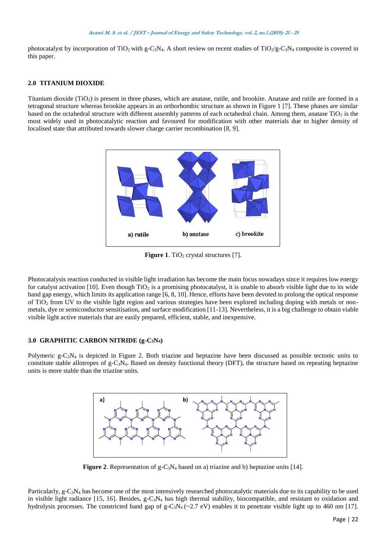photocatalyst by incorporation of TiO<sub>2</sub> with g-C<sub>3</sub>N<sub>4</sub>. A short review on recent studies of TiO<sub>2</sub>/g-C<sub>3</sub>N<sub>4</sub> composite is covered in this paper.

#### **2.0 TITANIUM DIOXIDE**

Titanium dioxide (TiO2) is present in three phases, which are anatase, rutile, and brookite. Anatase and rutile are formed in a tetragonal structure whereas brookite appears in an orthorhombic structure as shown in Figure 1 [7]. These phases are similar based on the octahedral structure with different assembly patterns of each octahedral chain. Among them, anatase  $TiO<sub>2</sub>$  is the most widely used in photocatalytic reaction and favoured for modification with other materials due to higher density of localised state that attributed towards slower charge carrier recombination [8, 9].



**Figure 1.** TiO<sub>2</sub> crystal structures [7].

Photocatalysis reaction conducted in visible light irradiation has become the main focus nowadays since it requires low energy for catalyst activation [10]. Even though  $TiO<sub>2</sub>$  is a promising photocatalyst, it is unable to absorb visible light due to its wide band gap energy, which limits its application range [6, 8, 10]. Hence, efforts have been devoted to prolong the optical response of TiO<sup>2</sup> from UV to the visible light region and various strategies have been explored including doping with metals or nonmetals, dye or semiconductor sensitisation, and surface modification [11-13]. Nevertheless, it is a big challenge to obtain viable visible light active materials that are easily prepared, efficient, stable, and inexpensive.

# **3.0 GRAPHITIC CARBON NITRIDE (g-C3N4)**

Polymeric g-C<sub>3</sub>N<sub>4</sub> is depicted in Figure 2. Both triazine and heptazine have been discussed as possible tectonic units to constitute stable allotropes of  $g-C_3N_4$ . Based on density functional theory (DFT), the structure based on repeating heptazine units is more stable than the triazine units.



**Figure 2.** Representation of g-C<sub>3</sub>N<sub>4</sub> based on a) triazine and b) heptazine units [14].

Particularly, g-C3N<sup>4</sup> has become one of the most intensively researched photocatalytic materials due to its capability to be used in visible light radiance [15, 16]. Besides, g-C3N<sup>4</sup> has high thermal stability, biocompatible, and resistant to oxidation and hydrolysis processes. The constricted band gap of  $g-C_3N_4$  (~2.7 eV) enables it to penetrate visible light up to 460 nm [17].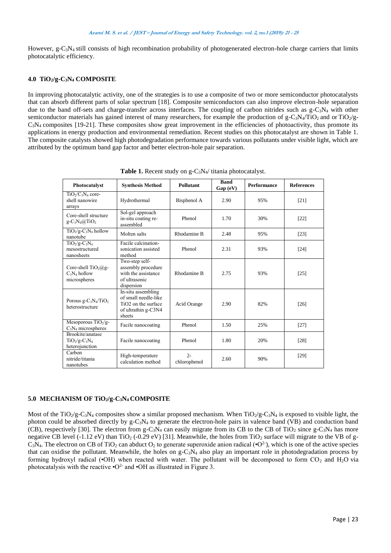However, g-C<sub>3</sub>N<sub>4</sub> still consists of high recombination probability of photogenerated electron-hole charge carriers that limits photocatalytic efficiency.

# **4.0 TiO2/g-C3N<sup>4</sup> COMPOSITE**

In improving photocatalytic activity, one of the strategies is to use a composite of two or more semiconductor photocatalysts that can absorb different parts of solar spectrum [18]. Composite semiconductors can also improve electron-hole separation due to the band off-sets and charge-transfer across interfaces. The coupling of carbon nitrides such as  $g-C_3N_4$  with other semiconductor materials has gained interest of many researchers, for example the production of  $g - C_3N_4/T_1$  and or  $TiO_2/g$ - $C_3N_4$  composites [19-21]. These composites show great improvement in the efficiencies of photoactivity, thus promote its applications in energy production and environmental remediation. Recent studies on this photocatalyst are shown in Table 1. The composite catalysts showed high photodegradation performance towards various pollutants under visible light, which are attributed by the optimum band gap factor and better electron-hole pair separation.

| Photocatalyst                                             | <b>Synthesis Method</b>                                                                                        | Pollutant             | <b>Band</b><br>Gap (eV) | <b>Performance</b> | <b>References</b> |
|-----------------------------------------------------------|----------------------------------------------------------------------------------------------------------------|-----------------------|-------------------------|--------------------|-------------------|
| $TiO_2/C_3N_4$ core-<br>shell nanowire<br>arrays          | Hydrothermal                                                                                                   | Bisphenol A           | 2.90                    | 95%                | $[21]$            |
| Core-shell structure<br>$g - C_3N_4(a)TiO_2$              | Sol-gel approach<br>in-situ coating re-<br>assembled                                                           | Phenol                | 1.70                    | 30%                | $[22]$            |
| $TiO2/g-C3N4$ hollow<br>nanotube                          | Molten salts                                                                                                   | Rhodamine B           | 2.48                    | 95%                | $[23]$            |
| $TiO2/g-C3N4$<br>mesostructured<br>nanosheets             | Facile calcination-<br>sonication assisted<br>method                                                           | Phenol                | 2.31                    | 93%                | $[24]$            |
| Core-shell $TiO2(a)g-$<br>$C_3N_4$ hollow<br>microspheres | Two-step self-<br>assembly procedure<br>with the assistance<br>of ultrasonic<br>dispersion                     | Rhodamine B           | 2.75                    | 93%                | $[25]$            |
| Porous $g - C_3N_4/TiO_2$<br>heterostructure              | In-situ assembling<br>of small needle-like<br>TiO <sub>2</sub> on the surface<br>of ultrathin g-C3N4<br>sheets | Acid Orange           | 2.90                    | 82%                | $[26]$            |
| Mesoporous $TiO2/g-$<br>$C_3N_4$ microspheres             | Facile nanocoating                                                                                             | Phenol                | 1.50                    | 25%                | $[27]$            |
| Brookite/anatase<br>$TiO2/g-C3N4$<br>heterojunction       | Facile nanocoating                                                                                             | Phenol                | 1.80                    | 20%                | $[28]$            |
| Carbon<br>nitride/titania<br>nanotubes                    | High-temperature<br>calculation method                                                                         | $2 -$<br>chlorophenol | 2.60                    | 90%                | [29]              |

**Table 1.** Recent study on g-C3N4/ titania photocatalyst.

# **5.0 MECHANISM OF TiO2/g-C3N4 COMPOSITE**

Most of the TiO<sub>2</sub>/g-C<sub>3</sub>N<sub>4</sub> composites show a similar proposed mechanism. When TiO<sub>2</sub>/g-C<sub>3</sub>N<sub>4</sub> is exposed to visible light, the photon could be absorbed directly by  $g-C_3N_4$  to generate the electron-hole pairs in valence band (VB) and conduction band (CB), respectively [30]. The electron from g-C<sub>3</sub>N<sub>4</sub> can easily migrate from its CB to the CB of TiO<sub>2</sub> since g-C<sub>3</sub>N<sub>4</sub> has more negative CB level (-1.12 eV) than TiO<sub>2</sub> (-0.29 eV) [31]. Meanwhile, the holes from TiO<sub>2</sub> surface will migrate to the VB of g- $C_3N_4$ . The electron on CB of TiO<sub>2</sub> can abduct O<sub>2</sub> to generate superoxide anion radical ( $\cdot$ O<sup>2</sup>), which is one of the active species that can oxidise the pollutant. Meanwhile, the holes on  $g-C_3N_4$  also play an important role in photodegradation process by forming hydroxyl radical (•OH) when reacted with water. The pollutant will be decomposed to form  $CO_2$  and  $H_2O$  via photocatalysis with the reactive  $\cdot$ O<sup>2-</sup> and  $\cdot$ OH as illustrated in Figure 3.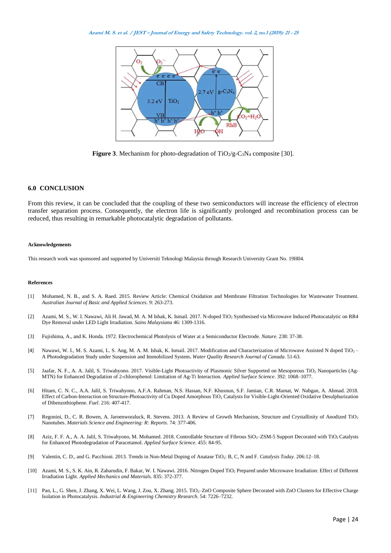

**Figure 3**. Mechanism for photo-degradation of  $TiO<sub>2</sub>/g-C<sub>3</sub>N<sub>4</sub>$  composite [30].

#### **6.0 CONCLUSION**

From this review, it can be concluded that the coupling of these two semiconductors will increase the efficiency of electron transfer separation process. Consequently, the electron life is significantly prolonged and recombination process can be reduced, thus resulting in remarkable photocatalytic degradation of pollutants.

#### **Acknowledgements**

This research work was sponsored and supported by Universiti Teknologi Malaysia through Research University Grant No. 19H04.

#### **References**

- [1] Mohamed, N. B., and S. A. Raed. 2015. Review Article: Chemical Oxidation and Membrane Filtration Technologies for Wastewater Treatment. *Australian Journal of Basic and Applied Sciences*. 9: 263-273.
- [2] Azami, M. S., W. I. Nawawi, Ali H. Jawad, M. A. M Ishak, K. Ismail. 2017. N-doped TiO<sub>2</sub> Synthesised via Microwave Induced Photocatalytic on RR4 Dye Removal under LED Light Irradiation. *Sains Malaysiana* 46: 1309-1316.
- [3] Fujishima, A., and K. Honda. 1972. Electrochemical Photolysis of Water at a Semiconductor Electrode. *Nature*. 238: 37-38.
- [4] Nawawi, W. I., M. S. Azami, L. S. Ang, M. A. M. Ishak, K. Ismail. 2017. Modification and Characterization of Microwave Assisted N doped TiO<sub>2</sub> A Photodegradation Study under Suspension and Immobilized System**.** *[Water Quality Research Journal of Canada](https://uitm.pure.elsevier.com/en/publications/modification-and-characterization-of-microwave-assisted-n-doped-t)*. 51-63.
- [5] Jaafar, N. F., A. A. Jalil, S. Triwahyono. 2017. [Visible-Light Photoactivity of Plasmonic Silver Supported on Mesoporous TiO](javascript:void(0))<sup>2</sup> Nanoparticles (Ag-[MTN\) for Enhanced Degradation of 2-chlorophenol: Limitation of Ag-Ti Interaction.](javascript:void(0)) *Applied Surface Science*. 392: 1068–1077.
- [6] Hitam, C. N. C., A.A. Jalil, S. Triwahyono, A.F.A. Rahman, N.S. Hassan, N.F. Khusnun, S.F. Jamian, C.R. Mamat, W. Nabgan, A. Ahmad. 2018. [Effect of Carbon-Interaction on Structure-Photoactivity of Cu Doped Amorphous TiO](javascript:void(0))<sub>2</sub> Catalysts for Visible-Light-Oriented Oxidative Desulphurization [of Dibenzothiophene.](javascript:void(0)) *Fuel*. 216: 407-417.
- [7] Regonini, D., C. R. Bowen, A. Jaroenworaluck, R. Stevens. 2013. A Review of Growth Mechanism, Structure and Crystallinity of Anodized TiO<sup>2</sup> Nanotubes. *Materials Science and Engineering: R: Reports*. 74: 377-406.
- [8] Aziz, F. F. A., A. A. Jalil, S. Triwahyono, M. Mohamed. 2018[. Controllable Structure of Fibrous SiO](https://www.sciencedirect.com/science/article/pii/S0169433218315058)<sub>2</sub>-ZSM-5 Support Decorated with TiO<sub>2</sub> Catalysts [for Enhanced Photodegradation of Paracetamol.](https://www.sciencedirect.com/science/article/pii/S0169433218315058) *Applied Surface Science*. 455: 84-95.
- [9] Valentin, C. D., and G. Pacchioni. 2013[. Trends in Non-Metal Doping of Anatase TiO](javascript:void(0))2: B, C, N and F. *Catalysis Today*. 206:12–18.
- [10] Azami, M. S., S. K. Ain, R. Zaharudin, F. Bakar, W. I. Nawawi. 2016. Nitrogen Doped TiO<sup>2</sup> [Prepared under Microwave Irradiation: Effect of Different](javascript:void(0))  [Irradiation Light.](javascript:void(0)) *Applied Mechanics and Materials*. 835: 372-377.
- [11] Pan, L., G. Shen, J. Zhang, X. Wei, L. Wang, J. Zou, X. Zhang. 2015. TiO<sub>2</sub>–ZnO Composite Sphere Decorated with ZnO Clusters for Effective Charge [Isolation in Photocatalysis.](javascript:void(0)) *Industrial & Engineering Chemistry Research*. 54: 7226–7232.